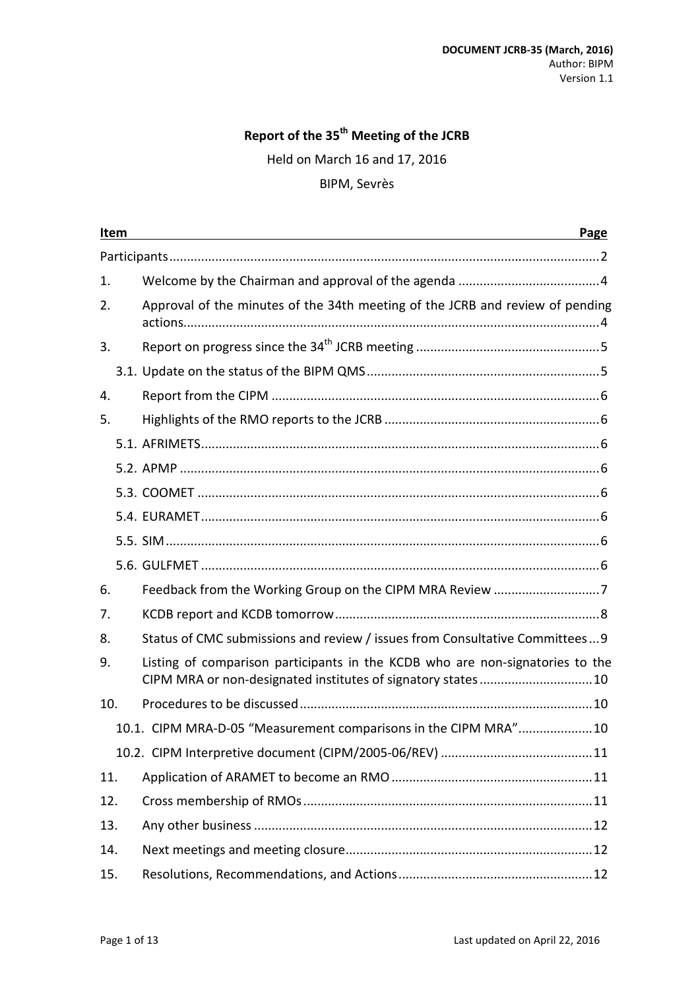# **Report of the 35th Meeting of the JCRB**

Held on March 16 and 17, 2016

### BIPM, Sevrès

|     | Item | Page<br>and the control of the control of the control of the control of the control of the control of the control of the                     |  |  |  |
|-----|------|----------------------------------------------------------------------------------------------------------------------------------------------|--|--|--|
|     |      |                                                                                                                                              |  |  |  |
| 1.  |      |                                                                                                                                              |  |  |  |
| 2.  |      | Approval of the minutes of the 34th meeting of the JCRB and review of pending                                                                |  |  |  |
| 3.  |      |                                                                                                                                              |  |  |  |
|     |      |                                                                                                                                              |  |  |  |
| 4.  |      |                                                                                                                                              |  |  |  |
| 5.  |      |                                                                                                                                              |  |  |  |
|     |      |                                                                                                                                              |  |  |  |
|     |      |                                                                                                                                              |  |  |  |
|     |      |                                                                                                                                              |  |  |  |
|     |      |                                                                                                                                              |  |  |  |
|     |      |                                                                                                                                              |  |  |  |
|     |      |                                                                                                                                              |  |  |  |
| 6.  |      |                                                                                                                                              |  |  |  |
| 7.  |      |                                                                                                                                              |  |  |  |
| 8.  |      | Status of CMC submissions and review / issues from Consultative Committees 9                                                                 |  |  |  |
| 9.  |      | Listing of comparison participants in the KCDB who are non-signatories to the<br>CIPM MRA or non-designated institutes of signatory states10 |  |  |  |
| 10. |      |                                                                                                                                              |  |  |  |
|     |      | 10.1. CIPM MRA-D-05 "Measurement comparisons in the CIPM MRA"10                                                                              |  |  |  |
|     |      |                                                                                                                                              |  |  |  |
| 11. |      |                                                                                                                                              |  |  |  |
| 12. |      |                                                                                                                                              |  |  |  |
| 13. |      |                                                                                                                                              |  |  |  |
| 14. |      |                                                                                                                                              |  |  |  |
| 15. |      |                                                                                                                                              |  |  |  |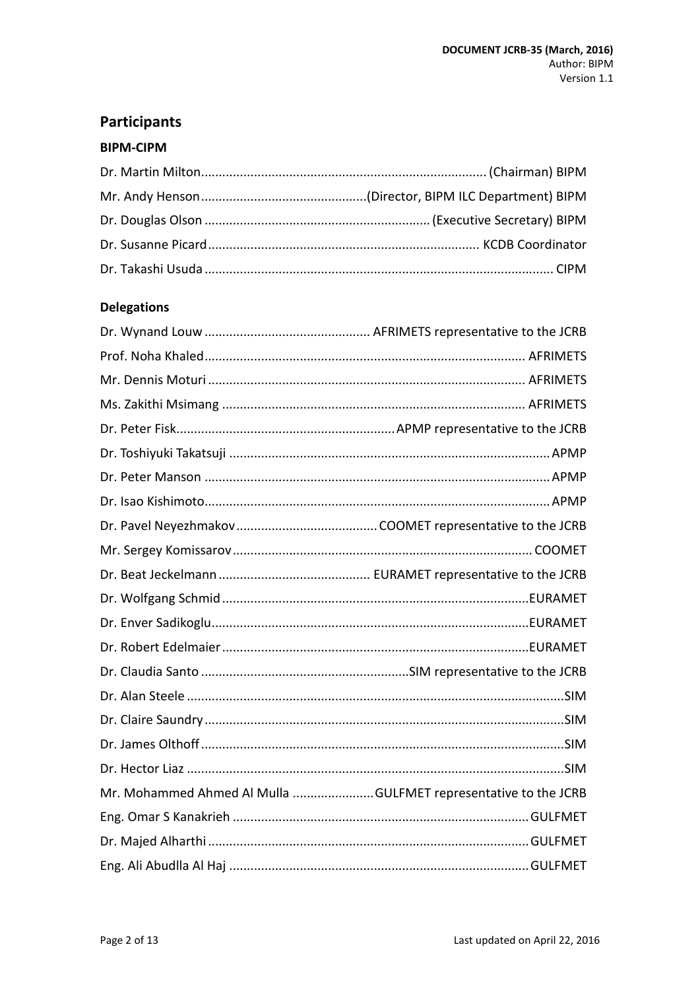# <span id="page-1-0"></span>**Participants**

### **BIPM-CIPM**

# **Delegations**

| Mr. Mohammed Ahmed Al Mulla GULFMET representative to the JCRB |  |
|----------------------------------------------------------------|--|
|                                                                |  |
|                                                                |  |
|                                                                |  |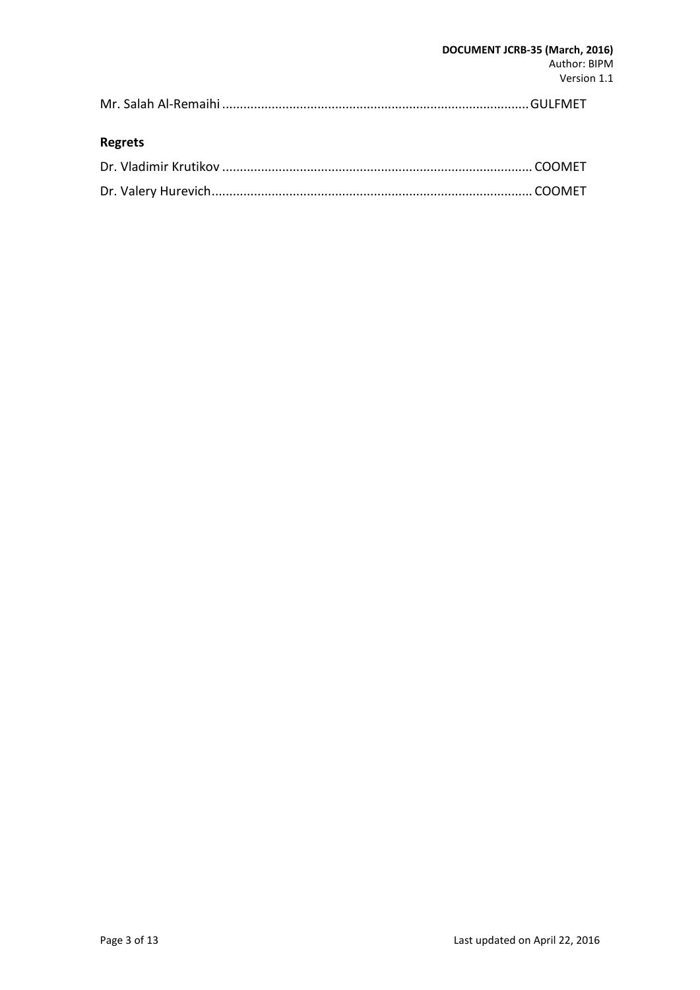### **Regrets**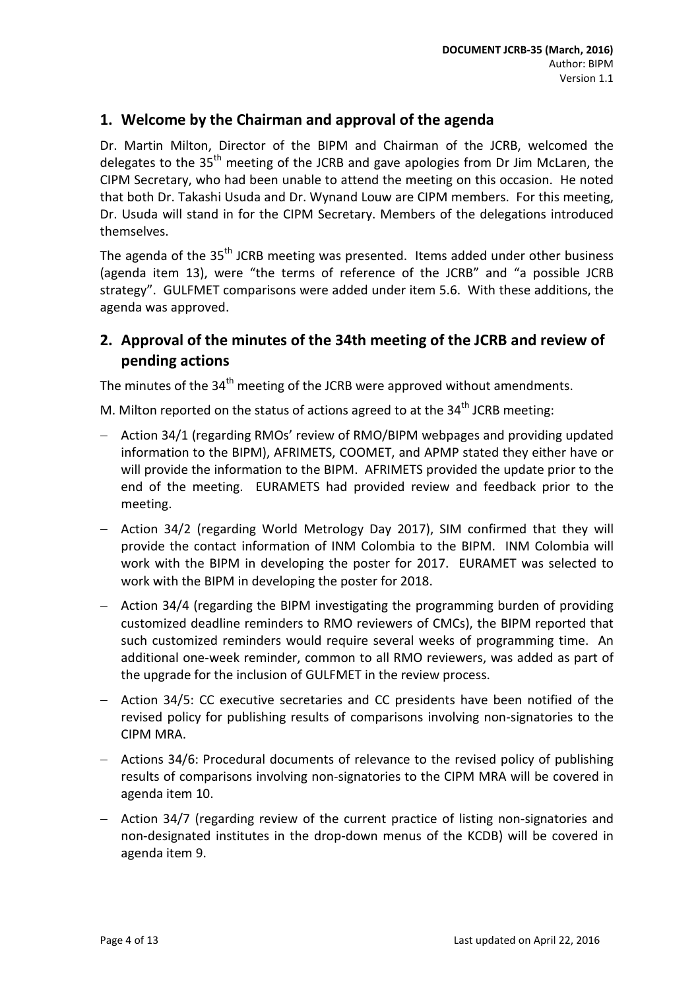### <span id="page-3-0"></span>**1. Welcome by the Chairman and approval of the agenda**

Dr. Martin Milton, Director of the BIPM and Chairman of the JCRB, welcomed the delegates to the 35<sup>th</sup> meeting of the JCRB and gave apologies from Dr Jim McLaren, the CIPM Secretary, who had been unable to attend the meeting on this occasion. He noted that both Dr. Takashi Usuda and Dr. Wynand Louw are CIPM members. For this meeting, Dr. Usuda will stand in for the CIPM Secretary. Members of the delegations introduced themselves.

The agenda of the 35<sup>th</sup> JCRB meeting was presented. Items added under other business (agenda item 13), were "the terms of reference of the JCRB" and "a possible JCRB strategy". GULFMET comparisons were added under item 5.6. With these additions, the agenda was approved.

# <span id="page-3-1"></span>**2. Approval of the minutes of the 34th meeting of the JCRB and review of pending actions**

The minutes of the 34<sup>th</sup> meeting of the JCRB were approved without amendments.

M. Milton reported on the status of actions agreed to at the  $34<sup>th</sup>$  JCRB meeting:

- − Action 34/1 (regarding RMOs' review of RMO/BIPM webpages and providing updated information to the BIPM), AFRIMETS, COOMET, and APMP stated they either have or will provide the information to the BIPM. AFRIMETS provided the update prior to the end of the meeting. EURAMETS had provided review and feedback prior to the meeting.
- − Action 34/2 (regarding World Metrology Day 2017), SIM confirmed that they will provide the contact information of INM Colombia to the BIPM. INM Colombia will work with the BIPM in developing the poster for 2017. EURAMET was selected to work with the BIPM in developing the poster for 2018.
- − Action 34/4 (regarding the BIPM investigating the programming burden of providing customized deadline reminders to RMO reviewers of CMCs), the BIPM reported that such customized reminders would require several weeks of programming time. An additional one-week reminder, common to all RMO reviewers, was added as part of the upgrade for the inclusion of GULFMET in the review process.
- − Action 34/5: CC executive secretaries and CC presidents have been notified of the revised policy for publishing results of comparisons involving non-signatories to the CIPM MRA.
- − Actions 34/6: Procedural documents of relevance to the revised policy of publishing results of comparisons involving non-signatories to the CIPM MRA will be covered in agenda item 10.
- − Action 34/7 (regarding review of the current practice of listing non-signatories and non-designated institutes in the drop-down menus of the KCDB) will be covered in agenda item 9.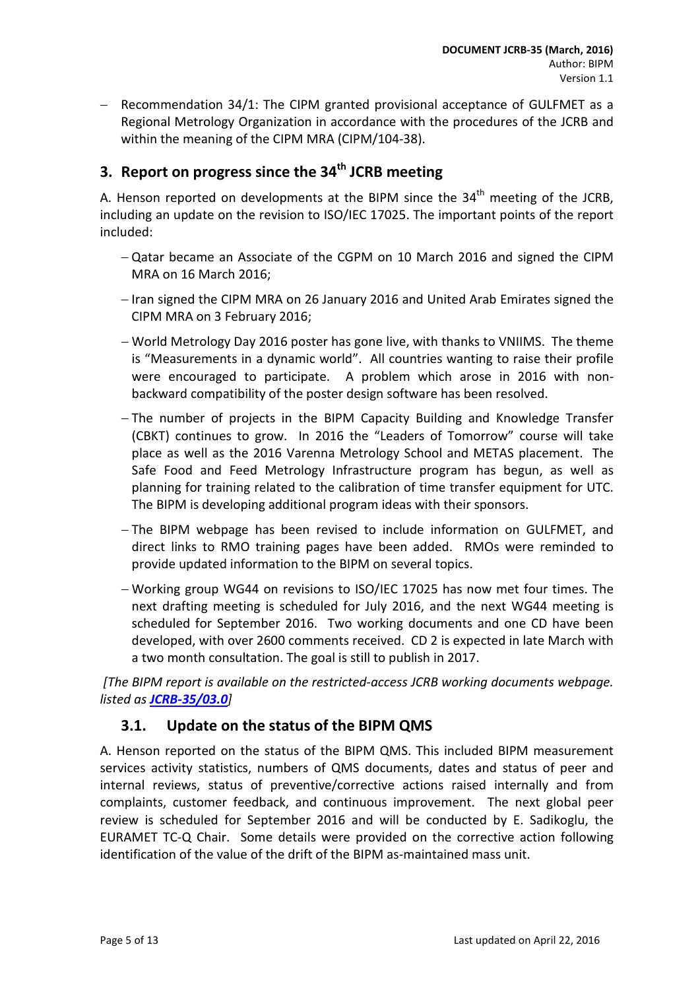Recommendation 34/1: The CIPM granted provisional acceptance of GULFMET as a Regional Metrology Organization in accordance with the procedures of the JCRB and within the meaning of the CIPM MRA (CIPM/104-38).

# <span id="page-4-0"></span>**3.** Report on progress since the 34<sup>th</sup> JCRB meeting

A. Henson reported on developments at the BIPM since the  $34<sup>th</sup>$  meeting of the JCRB, including an update on the revision to ISO/IEC 17025. The important points of the report included:

- − Qatar became an Associate of the CGPM on 10 March 2016 and signed the CIPM MRA on 16 March 2016;
- − Iran signed the CIPM MRA on 26 January 2016 and United Arab Emirates signed the CIPM MRA on 3 February 2016;
- − World Metrology Day 2016 poster has gone live, with thanks to VNIIMS. The theme is "Measurements in a dynamic world". All countries wanting to raise their profile were encouraged to participate. A problem which arose in 2016 with nonbackward compatibility of the poster design software has been resolved.
- − The number of projects in the BIPM Capacity Building and Knowledge Transfer (CBKT) continues to grow. In 2016 the "Leaders of Tomorrow" course will take place as well as the 2016 Varenna Metrology School and METAS placement. The Safe Food and Feed Metrology Infrastructure program has begun, as well as planning for training related to the calibration of time transfer equipment for UTC. The BIPM is developing additional program ideas with their sponsors.
- − The BIPM webpage has been revised to include information on GULFMET, and direct links to RMO training pages have been added. RMOs were reminded to provide updated information to the BIPM on several topics.
- − Working group WG44 on revisions to ISO/IEC 17025 has now met four times. The next drafting meeting is scheduled for July 2016, and the next WG44 meeting is scheduled for September 2016. Two working documents and one CD have been developed, with over 2600 comments received. CD 2 is expected in late March with a two month consultation. The goal is still to publish in 2017.

*[The BIPM report is available on the restricted-access JCRB working documents webpage. listed as [JCRB-35/03.0](http://www.bipm.org/cc/JCRB/Restricted/35/35-03.0_BIPM_Report_Progress.pdf)]*

# <span id="page-4-1"></span>**3.1. Update on the status of the BIPM QMS**

A. Henson reported on the status of the BIPM QMS. This included BIPM measurement services activity statistics, numbers of QMS documents, dates and status of peer and internal reviews, status of preventive/corrective actions raised internally and from complaints, customer feedback, and continuous improvement. The next global peer review is scheduled for September 2016 and will be conducted by E. Sadikoglu, the EURAMET TC-Q Chair. Some details were provided on the corrective action following identification of the value of the drift of the BIPM as-maintained mass unit.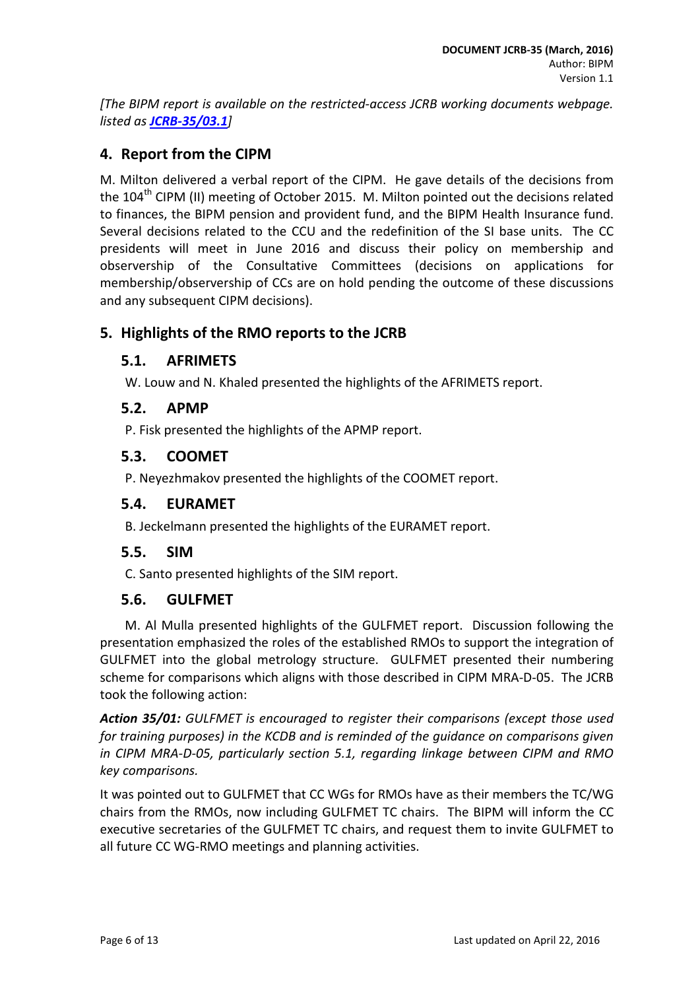*[The BIPM report is available on the restricted-access JCRB working documents webpage. listed as [JCRB-35/03.1](http://www.bipm.org/cc/JCRB/Restricted/35/35-03.1_QMS_v2.pdf)]*

# <span id="page-5-0"></span>**4. Report from the CIPM**

M. Milton delivered a verbal report of the CIPM. He gave details of the decisions from the 104<sup>th</sup> CIPM (II) meeting of October 2015. M. Milton pointed out the decisions related to finances, the BIPM pension and provident fund, and the BIPM Health Insurance fund. Several decisions related to the CCU and the redefinition of the SI base units. The CC presidents will meet in June 2016 and discuss their policy on membership and observership of the Consultative Committees (decisions on applications for membership/observership of CCs are on hold pending the outcome of these discussions and any subsequent CIPM decisions).

# <span id="page-5-1"></span>**5. Highlights of the RMO reports to the JCRB**

### <span id="page-5-2"></span>**5.1. AFRIMETS**

W. Louw and N. Khaled presented the highlights of the AFRIMETS report.

### <span id="page-5-3"></span>**5.2. APMP**

P. Fisk presented the highlights of the APMP report.

#### <span id="page-5-4"></span>**5.3. COOMET**

P. Neyezhmakov presented the highlights of the COOMET report.

#### <span id="page-5-5"></span>**5.4. EURAMET**

B. Jeckelmann presented the highlights of the EURAMET report.

#### <span id="page-5-6"></span>**5.5. SIM**

C. Santo presented highlights of the SIM report.

#### <span id="page-5-7"></span>**5.6. GULFMET**

M. Al Mulla presented highlights of the GULFMET report. Discussion following the presentation emphasized the roles of the established RMOs to support the integration of GULFMET into the global metrology structure. GULFMET presented their numbering scheme for comparisons which aligns with those described in CIPM MRA-D-05. The JCRB took the following action:

*Action 35/01: GULFMET is encouraged to register their comparisons (except those used for training purposes) in the KCDB and is reminded of the guidance on comparisons given in CIPM MRA-D-05, particularly section 5.1, regarding linkage between CIPM and RMO key comparisons.*

It was pointed out to GULFMET that CC WGs for RMOs have as their members the TC/WG chairs from the RMOs, now including GULFMET TC chairs. The BIPM will inform the CC executive secretaries of the GULFMET TC chairs, and request them to invite GULFMET to all future CC WG-RMO meetings and planning activities.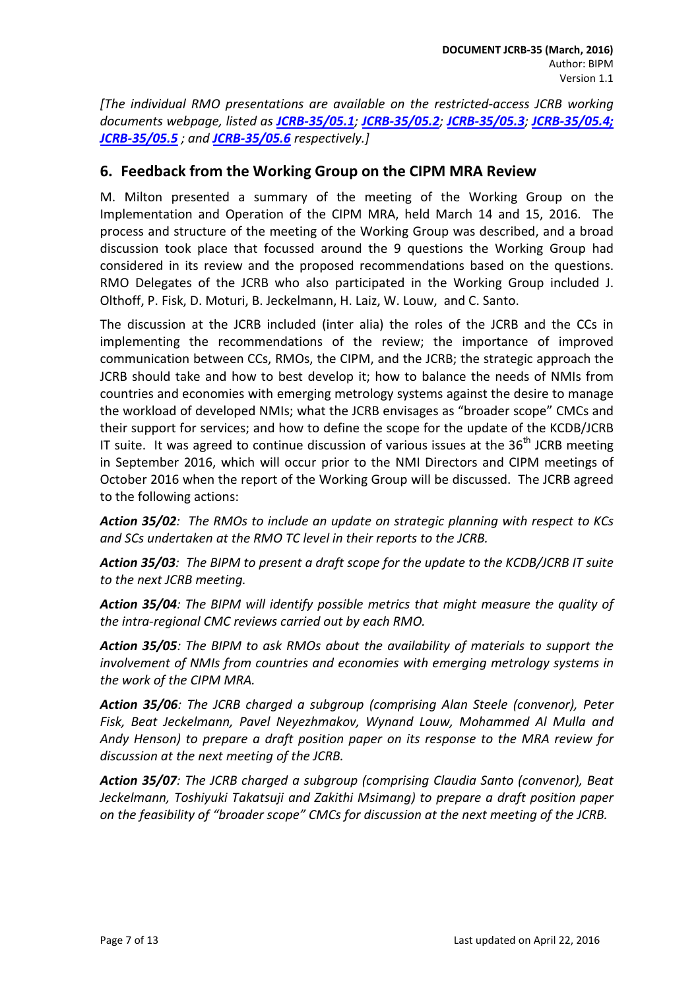*[The individual RMO presentations are available on the restricted-access JCRB working documents webpage, listed as [JCRB-35/05.1](http://www.bipm.org/cc/JCRB/Restricted/35/AFRIMETS_Report_35th_JCRB_2016.doc); [JCRB-35/05.2](http://www.bipm.org/cc/JCRB/Restricted/35/APMP_report_for_JCRB_March_2016.pdf); [JCRB-35/05.3](http://www.bipm.org/cc/JCRB/Restricted/35/JCRB_35_COOMET_Report.pdf); [JCRB-35/05.4;](http://www.bipm.org/cc/JCRB/Restricted/35/EURAMET-Report_35th-JCRB_160303.pdf) [JCRB-35/05.5](http://www.bipm.org/cc/JCRB/Restricted/35/presentacionSIM.ppt) ; and [JCRB-35/05.6](http://www.bipm.org/cc/JCRB/Restricted/35/GULFMET_Presentation.ppt) respectively.]*

### <span id="page-6-0"></span>**6. Feedback from the Working Group on the CIPM MRA Review**

M. Milton presented a summary of the meeting of the Working Group on the Implementation and Operation of the CIPM MRA, held March 14 and 15, 2016. The process and structure of the meeting of the Working Group was described, and a broad discussion took place that focussed around the 9 questions the Working Group had considered in its review and the proposed recommendations based on the questions. RMO Delegates of the JCRB who also participated in the Working Group included J. Olthoff, P. Fisk, D. Moturi, B. Jeckelmann, H. Laiz, W. Louw, and C. Santo.

The discussion at the JCRB included (inter alia) the roles of the JCRB and the CCs in implementing the recommendations of the review; the importance of improved communication between CCs, RMOs, the CIPM, and the JCRB; the strategic approach the JCRB should take and how to best develop it; how to balance the needs of NMIs from countries and economies with emerging metrology systems against the desire to manage the workload of developed NMIs; what the JCRB envisages as "broader scope" CMCs and their support for services; and how to define the scope for the update of the KCDB/JCRB IT suite. It was agreed to continue discussion of various issues at the  $36<sup>th</sup>$  JCRB meeting in September 2016, which will occur prior to the NMI Directors and CIPM meetings of October 2016 when the report of the Working Group will be discussed. The JCRB agreed to the following actions:

*Action 35/02: The RMOs to include an update on strategic planning with respect to KCs and SCs undertaken at the RMO TC level in their reports to the JCRB.*

*Action 35/03: The BIPM to present a draft scope for the update to the KCDB/JCRB IT suite to the next JCRB meeting.*

*Action 35/04: The BIPM will identify possible metrics that might measure the quality of the intra-regional CMC reviews carried out by each RMO.*

*Action 35/05: The BIPM to ask RMOs about the availability of materials to support the involvement of NMIs from countries and economies with emerging metrology systems in the work of the CIPM MRA.*

*Action 35/06: The JCRB charged a subgroup (comprising Alan Steele (convenor), Peter Fisk, Beat Jeckelmann, Pavel Neyezhmakov, Wynand Louw, Mohammed Al Mulla and Andy Henson) to prepare a draft position paper on its response to the MRA review for discussion at the next meeting of the JCRB.*

*Action 35/07: The JCRB charged a subgroup (comprising Claudia Santo (convenor), Beat Jeckelmann, Toshiyuki Takatsuji and Zakithi Msimang) to prepare a draft position paper on the feasibility of "broader scope" CMCs for discussion at the next meeting of the JCRB.*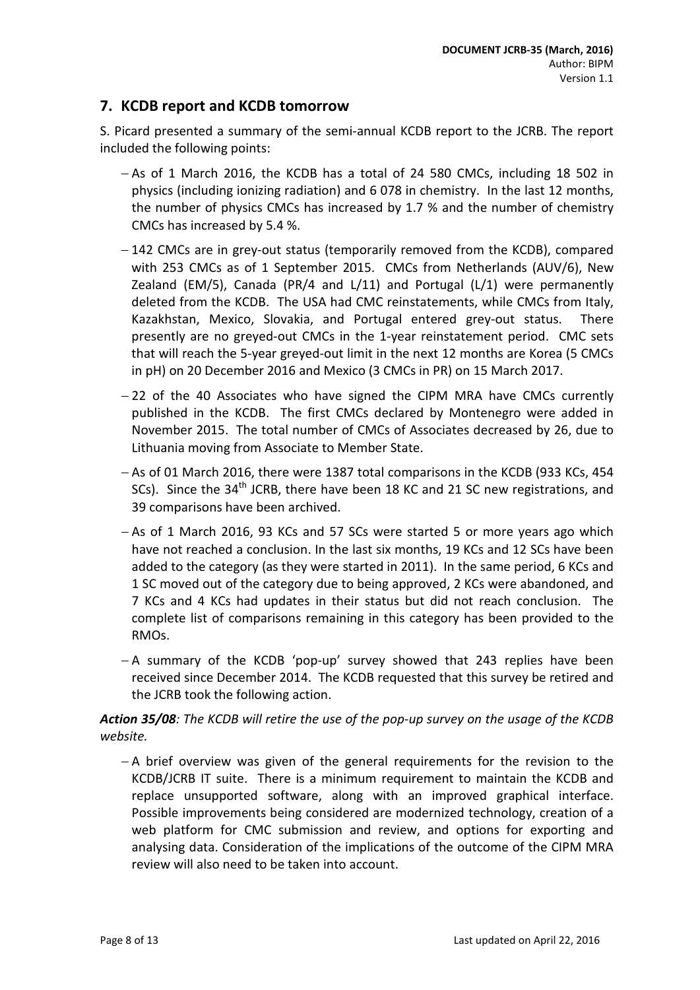# <span id="page-7-0"></span>**7. KCDB report and KCDB tomorrow**

S. Picard presented a summary of the semi-annual KCDB report to the JCRB. The report included the following points:

- − As of 1 March 2016, the KCDB has a total of 24 580 CMCs, including 18 502 in physics (including ionizing radiation) and 6 078 in chemistry. In the last 12 months, the number of physics CMCs has increased by 1.7 % and the number of chemistry CMCs has increased by 5.4 %.
- − 142 CMCs are in grey-out status (temporarily removed from the KCDB), compared with 253 CMCs as of 1 September 2015. CMCs from Netherlands (AUV/6), New Zealand (EM/5), Canada (PR/4 and  $L/11$ ) and Portugal ( $L/1$ ) were permanently deleted from the KCDB. The USA had CMC reinstatements, while CMCs from Italy, Kazakhstan, Mexico, Slovakia, and Portugal entered grey-out status. There presently are no greyed-out CMCs in the 1-year reinstatement period. CMC sets that will reach the 5-year greyed-out limit in the next 12 months are Korea (5 CMCs in pH) on 20 December 2016 and Mexico (3 CMCs in PR) on 15 March 2017.
- − 22 of the 40 Associates who have signed the CIPM MRA have CMCs currently published in the KCDB. The first CMCs declared by Montenegro were added in November 2015. The total number of CMCs of Associates decreased by 26, due to Lithuania moving from Associate to Member State.
- − As of 01 March 2016, there were 1387 total comparisons in the KCDB (933 KCs, 454 SCs). Since the 34<sup>th</sup> JCRB, there have been 18 KC and 21 SC new registrations, and 39 comparisons have been archived.
- − As of 1 March 2016, 93 KCs and 57 SCs were started 5 or more years ago which have not reached a conclusion. In the last six months, 19 KCs and 12 SCs have been added to the category (as they were started in 2011). In the same period, 6 KCs and 1 SC moved out of the category due to being approved, 2 KCs were abandoned, and 7 KCs and 4 KCs had updates in their status but did not reach conclusion. The complete list of comparisons remaining in this category has been provided to the RMOs.
- − A summary of the KCDB 'pop-up' survey showed that 243 replies have been received since December 2014. The KCDB requested that this survey be retired and the JCRB took the following action.

#### *Action 35/08: The KCDB will retire the use of the pop-up survey on the usage of the KCDB website.*

− A brief overview was given of the general requirements for the revision to the KCDB/JCRB IT suite. There is a minimum requirement to maintain the KCDB and replace unsupported software, along with an improved graphical interface. Possible improvements being considered are modernized technology, creation of a web platform for CMC submission and review, and options for exporting and analysing data. Consideration of the implications of the outcome of the CIPM MRA review will also need to be taken into account.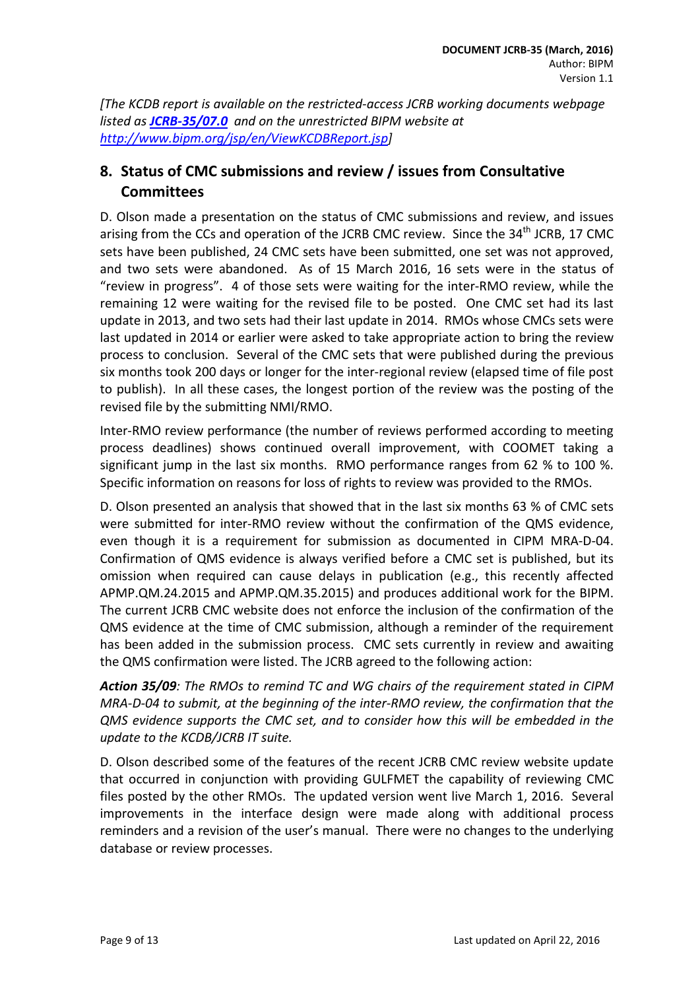*[The KCDB report is available on the restricted-access JCRB working documents webpage listed as [JCRB-35/07.0](http://www.bipm.org/cc/JCRB/Restricted/35/35-07.0_KCDB_Report_to_35th_JCRB_v4.pdf) and on the unrestricted BIPM website at [http://www.bipm.org/jsp/en/ViewKCDBReport.jsp\]](http://www.bipm.org/jsp/en/ViewKCDBReport.jsp)*

# <span id="page-8-0"></span>**8. Status of CMC submissions and review / issues from Consultative Committees**

D. Olson made a presentation on the status of CMC submissions and review, and issues arising from the CCs and operation of the JCRB CMC review. Since the  $34<sup>th</sup>$  JCRB. 17 CMC sets have been published, 24 CMC sets have been submitted, one set was not approved, and two sets were abandoned. As of 15 March 2016, 16 sets were in the status of "review in progress". 4 of those sets were waiting for the inter-RMO review, while the remaining 12 were waiting for the revised file to be posted. One CMC set had its last update in 2013, and two sets had their last update in 2014. RMOs whose CMCs sets were last updated in 2014 or earlier were asked to take appropriate action to bring the review process to conclusion. Several of the CMC sets that were published during the previous six months took 200 days or longer for the inter-regional review (elapsed time of file post to publish). In all these cases, the longest portion of the review was the posting of the revised file by the submitting NMI/RMO.

Inter-RMO review performance (the number of reviews performed according to meeting process deadlines) shows continued overall improvement, with COOMET taking a significant jump in the last six months. RMO performance ranges from 62 % to 100 %. Specific information on reasons for loss of rights to review was provided to the RMOs.

D. Olson presented an analysis that showed that in the last six months 63 % of CMC sets were submitted for inter-RMO review without the confirmation of the QMS evidence, even though it is a requirement for submission as documented in CIPM MRA-D-04. Confirmation of QMS evidence is always verified before a CMC set is published, but its omission when required can cause delays in publication (e.g., this recently affected APMP.QM.24.2015 and APMP.QM.35.2015) and produces additional work for the BIPM. The current JCRB CMC website does not enforce the inclusion of the confirmation of the QMS evidence at the time of CMC submission, although a reminder of the requirement has been added in the submission process. CMC sets currently in review and awaiting the QMS confirmation were listed. The JCRB agreed to the following action:

*Action 35/09: The RMOs to remind TC and WG chairs of the requirement stated in CIPM MRA-D-04 to submit, at the beginning of the inter-RMO review, the confirmation that the QMS evidence supports the CMC set, and to consider how this will be embedded in the update to the KCDB/JCRB IT suite.*

D. Olson described some of the features of the recent JCRB CMC review website update that occurred in conjunction with providing GULFMET the capability of reviewing CMC files posted by the other RMOs. The updated version went live March 1, 2016. Several improvements in the interface design were made along with additional process reminders and a revision of the user's manual. There were no changes to the underlying database or review processes.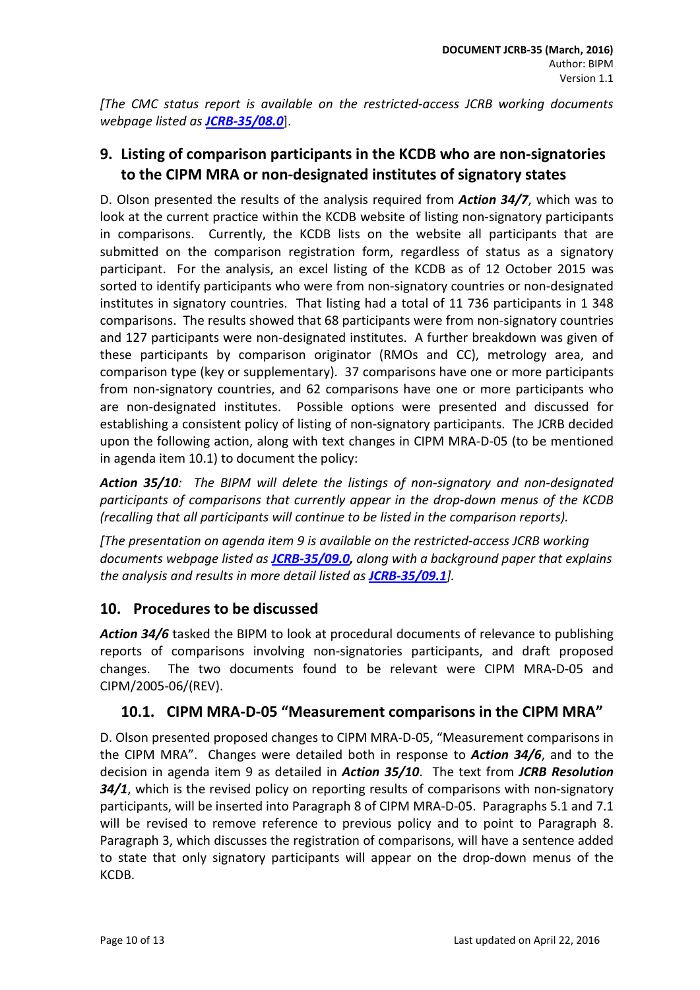*[The CMC status report is available on the restricted-access JCRB working documents webpage listed as [JCRB-35/08.0](http://www.bipm.org/cc/JCRB/Restricted/35/35-08.0_Status_of_CMCs.pdf)*].

# <span id="page-9-0"></span>**9. Listing of comparison participants in the KCDB who are non-signatories to the CIPM MRA or non-designated institutes of signatory states**

D. Olson presented the results of the analysis required from *Action 34/7*, which was to look at the current practice within the KCDB website of listing non-signatory participants in comparisons. Currently, the KCDB lists on the website all participants that are submitted on the comparison registration form, regardless of status as a signatory participant. For the analysis, an excel listing of the KCDB as of 12 October 2015 was sorted to identify participants who were from non-signatory countries or non-designated institutes in signatory countries. That listing had a total of 11 736 participants in 1 348 comparisons. The results showed that 68 participants were from non-signatory countries and 127 participants were non-designated institutes. A further breakdown was given of these participants by comparison originator (RMOs and CC), metrology area, and comparison type (key or supplementary). 37 comparisons have one or more participants from non-signatory countries, and 62 comparisons have one or more participants who are non-designated institutes. Possible options were presented and discussed for establishing a consistent policy of listing of non-signatory participants. The JCRB decided upon the following action, along with text changes in CIPM MRA-D-05 (to be mentioned in agenda item 10.1) to document the policy:

*Action 35/10: The BIPM will delete the listings of non-signatory and non-designated participants of comparisons that currently appear in the drop-down menus of the KCDB (recalling that all participants will continue to be listed in the comparison reports).*

*[The presentation on agenda item 9 is available on the restricted-access JCRB working documents webpage listed as [JCRB-35/09.0,](http://www.bipm.org/cc/JCRB/Restricted/35/35-09.0_Non-signatory_Participants_in_KCDB.pdf) along with a background paper that explains the analysis and results in more detail listed as [JCRB-35/09.1](http://www.bipm.org/cc/JCRB/Restricted/35/35-09.1_Background_Paper_KCDB_Participants_Listings.pdf)].*

# <span id="page-9-1"></span>**10. Procedures to be discussed**

*Action 34/6* tasked the BIPM to look at procedural documents of relevance to publishing reports of comparisons involving non-signatories participants, and draft proposed changes. The two documents found to be relevant were CIPM MRA-D-05 and CIPM/2005-06/(REV).

# <span id="page-9-2"></span>**10.1. CIPM MRA-D-05 "Measurement comparisons in the CIPM MRA"**

D. Olson presented proposed changes to CIPM MRA-D-05, "Measurement comparisons in the CIPM MRA". Changes were detailed both in response to *Action 34/6*, and to the decision in agenda item 9 as detailed in *Action 35/10*. The text from *JCRB Resolution 34/1*, which is the revised policy on reporting results of comparisons with non-signatory participants, will be inserted into Paragraph 8 of CIPM MRA-D-05. Paragraphs 5.1 and 7.1 will be revised to remove reference to previous policy and to point to Paragraph 8. Paragraph 3, which discusses the registration of comparisons, will have a sentence added to state that only signatory participants will appear on the drop-down menus of the KCDB.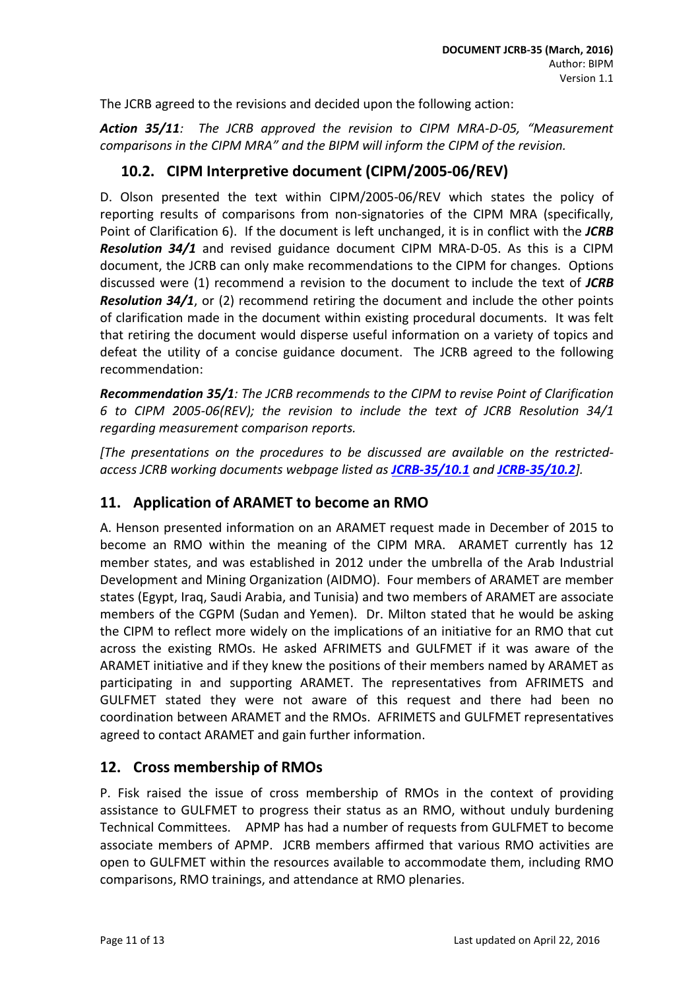The JCRB agreed to the revisions and decided upon the following action:

*Action 35/11: The JCRB approved the revision to CIPM MRA-D-05, "Measurement comparisons in the CIPM MRA" and the BIPM will inform the CIPM of the revision.*

# <span id="page-10-0"></span>**10.2. CIPM Interpretive document (CIPM/2005-06/REV)**

D. Olson presented the text within CIPM/2005-06/REV which states the policy of reporting results of comparisons from non-signatories of the CIPM MRA (specifically, Point of Clarification 6). If the document is left unchanged, it is in conflict with the *JCRB Resolution 34/1* and revised guidance document CIPM MRA-D-05. As this is a CIPM document, the JCRB can only make recommendations to the CIPM for changes. Options discussed were (1) recommend a revision to the document to include the text of *JCRB Resolution 34/1*, or (2) recommend retiring the document and include the other points of clarification made in the document within existing procedural documents. It was felt that retiring the document would disperse useful information on a variety of topics and defeat the utility of a concise guidance document. The JCRB agreed to the following recommendation:

*Recommendation 35/1: The JCRB recommends to the CIPM to revise Point of Clarification 6 to CIPM 2005-06(REV); the revision to include the text of JCRB Resolution 34/1 regarding measurement comparison reports.*

*[The presentations on the procedures to be discussed are available on the restrictedaccess JCRB working documents webpage listed as [JCRB-35/10.1](http://www.bipm.org/cc/JCRB/Restricted/35/35-10.1_Comparisons_Doc.pdf) and [JCRB-35/10.2](http://www.bipm.org/cc/JCRB/Restricted/35/35-10.2_Interpretive_Doc.pdf)].*

# <span id="page-10-1"></span>**11. Application of ARAMET to become an RMO**

A. Henson presented information on an ARAMET request made in December of 2015 to become an RMO within the meaning of the CIPM MRA. ARAMET currently has 12 member states, and was established in 2012 under the umbrella of the Arab Industrial Development and Mining Organization (AIDMO). Four members of ARAMET are member states (Egypt, Iraq, Saudi Arabia, and Tunisia) and two members of ARAMET are associate members of the CGPM (Sudan and Yemen). Dr. Milton stated that he would be asking the CIPM to reflect more widely on the implications of an initiative for an RMO that cut across the existing RMOs. He asked AFRIMETS and GULFMET if it was aware of the ARAMET initiative and if they knew the positions of their members named by ARAMET as participating in and supporting ARAMET. The representatives from AFRIMETS and GULFMET stated they were not aware of this request and there had been no coordination between ARAMET and the RMOs. AFRIMETS and GULFMET representatives agreed to contact ARAMET and gain further information.

# <span id="page-10-2"></span>**12. Cross membership of RMOs**

P. Fisk raised the issue of cross membership of RMOs in the context of providing assistance to GULFMET to progress their status as an RMO, without unduly burdening Technical Committees. APMP has had a number of requests from GULFMET to become associate members of APMP. JCRB members affirmed that various RMO activities are open to GULFMET within the resources available to accommodate them, including RMO comparisons, RMO trainings, and attendance at RMO plenaries.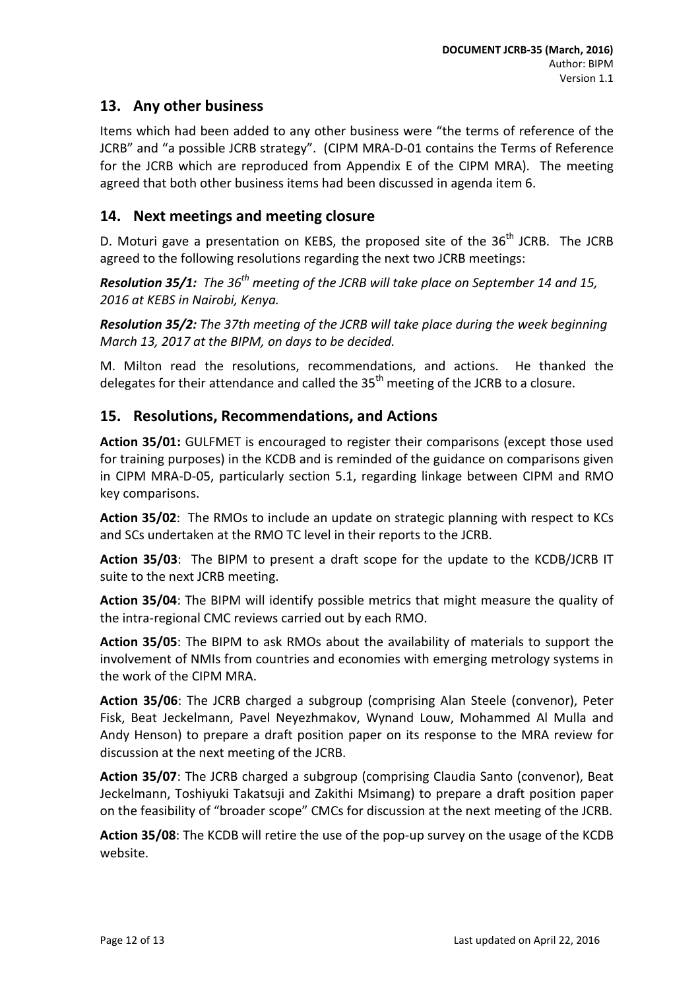# <span id="page-11-0"></span>**13. Any other business**

Items which had been added to any other business were "the terms of reference of the JCRB" and "a possible JCRB strategy". (CIPM MRA-D-01 contains the Terms of Reference for the JCRB which are reproduced from Appendix E of the CIPM MRA). The meeting agreed that both other business items had been discussed in agenda item 6.

### <span id="page-11-1"></span>**14. Next meetings and meeting closure**

D. Moturi gave a presentation on KEBS, the proposed site of the  $36<sup>th</sup>$  JCRB. The JCRB agreed to the following resolutions regarding the next two JCRB meetings:

*Resolution 35/1: The 36th meeting of the JCRB will take place on September 14 and 15, 2016 at KEBS in Nairobi, Kenya.*

*Resolution 35/2: The 37th meeting of the JCRB will take place during the week beginning March 13, 2017 at the BIPM, on days to be decided.*

M. Milton read the resolutions, recommendations, and actions. He thanked the delegates for their attendance and called the  $35<sup>th</sup>$  meeting of the JCRB to a closure.

### <span id="page-11-2"></span>**15. Resolutions, Recommendations, and Actions**

**Action 35/01:** GULFMET is encouraged to register their comparisons (except those used for training purposes) in the KCDB and is reminded of the guidance on comparisons given in CIPM MRA-D-05, particularly section 5.1, regarding linkage between CIPM and RMO key comparisons.

**Action 35/02**: The RMOs to include an update on strategic planning with respect to KCs and SCs undertaken at the RMO TC level in their reports to the JCRB.

**Action 35/03**: The BIPM to present a draft scope for the update to the KCDB/JCRB IT suite to the next JCRB meeting.

**Action 35/04**: The BIPM will identify possible metrics that might measure the quality of the intra-regional CMC reviews carried out by each RMO.

**Action 35/05**: The BIPM to ask RMOs about the availability of materials to support the involvement of NMIs from countries and economies with emerging metrology systems in the work of the CIPM MRA.

**Action 35/06**: The JCRB charged a subgroup (comprising Alan Steele (convenor), Peter Fisk, Beat Jeckelmann, Pavel Neyezhmakov, Wynand Louw, Mohammed Al Mulla and Andy Henson) to prepare a draft position paper on its response to the MRA review for discussion at the next meeting of the JCRB.

**Action 35/07**: The JCRB charged a subgroup (comprising Claudia Santo (convenor), Beat Jeckelmann, Toshiyuki Takatsuji and Zakithi Msimang) to prepare a draft position paper on the feasibility of "broader scope" CMCs for discussion at the next meeting of the JCRB.

**Action 35/08**: The KCDB will retire the use of the pop-up survey on the usage of the KCDB website.